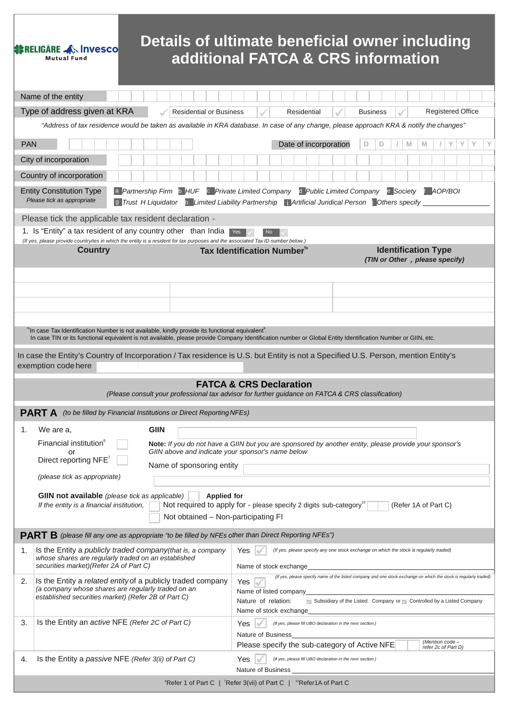# Details of ultimate beneficial owner including<br>additional FATCA & CRS information

**SERELIGARE AN INVESCONDENT** 

|            | Name of the entity                                                                                                                                                                                                                                                      |                                                                                                                                                              |   |  |  |
|------------|-------------------------------------------------------------------------------------------------------------------------------------------------------------------------------------------------------------------------------------------------------------------------|--------------------------------------------------------------------------------------------------------------------------------------------------------------|---|--|--|
|            | Registered Office<br>Type of address given at KRA<br><b>Residential or Business</b><br>Residential<br><b>Business</b>                                                                                                                                                   |                                                                                                                                                              |   |  |  |
|            | "Address of tax residence would be taken as available in KRA database. In case of any change, please approach KRA & notify the changes"                                                                                                                                 |                                                                                                                                                              |   |  |  |
| <b>PAN</b> |                                                                                                                                                                                                                                                                         | Y<br>Υ<br>Y<br>Date of incorporation<br>D<br>D<br>M<br>M                                                                                                     | Y |  |  |
|            | City of incorporation                                                                                                                                                                                                                                                   |                                                                                                                                                              |   |  |  |
|            | Country of incorporation                                                                                                                                                                                                                                                |                                                                                                                                                              |   |  |  |
|            | a Partnership Firm b HUF c Private Limited Company d Public Limited Company e Society t AOP/BOI<br><b>Entity Constitution Type</b><br>Please tick as appropriate<br>9 Trust H Liquidator h Limited Liability Partnership   Artificial Juridical Person   Others specify |                                                                                                                                                              |   |  |  |
|            | Please tick the applicable tax resident declaration -                                                                                                                                                                                                                   |                                                                                                                                                              |   |  |  |
|            | 1. Is "Entity" a tax resident of any country other than India<br>(If yes, please provide country/ies in which the entity is a resident for tax purposes and the associated Tax ID number below.)                                                                        |                                                                                                                                                              |   |  |  |
|            | <b>Country</b>                                                                                                                                                                                                                                                          | <b>Identification Type</b><br>Tax Identification Number*                                                                                                     |   |  |  |
|            |                                                                                                                                                                                                                                                                         | (TIN or Other, please specify)                                                                                                                               |   |  |  |
|            |                                                                                                                                                                                                                                                                         |                                                                                                                                                              |   |  |  |
|            |                                                                                                                                                                                                                                                                         |                                                                                                                                                              |   |  |  |
|            |                                                                                                                                                                                                                                                                         |                                                                                                                                                              |   |  |  |
|            | *In case Tax Identification Number is not available, kindly provide its functional equivalent <sup>s</sup> .                                                                                                                                                            | In case TIN or its functional equivalent is not available, please provide Company Identification number or Global Entity Identification Number or GIIN, etc. |   |  |  |
|            |                                                                                                                                                                                                                                                                         | In case the Entity's Country of Incorporation / Tax residence is U.S. but Entity is not a Specified U.S. Person, mention Entity's                            |   |  |  |
|            | exemption code here                                                                                                                                                                                                                                                     |                                                                                                                                                              |   |  |  |
|            |                                                                                                                                                                                                                                                                         | <b>FATCA &amp; CRS Declaration</b>                                                                                                                           |   |  |  |
|            |                                                                                                                                                                                                                                                                         | (Please consult your professional tax advisor for further guidance on FATCA & CRS classification)                                                            |   |  |  |
|            | <b>PART A</b> (to be filled by Financial Institutions or Direct Reporting NFEs)                                                                                                                                                                                         |                                                                                                                                                              |   |  |  |
| 1.         | <b>GIIN</b><br>We are a,                                                                                                                                                                                                                                                |                                                                                                                                                              |   |  |  |
|            | Financial institution <sup>6</sup><br>or                                                                                                                                                                                                                                | Note: If you do not have a GIIN but you are sponsored by another entity, please provide your sponsor's<br>GIIN above and indicate your sponsor's name below  |   |  |  |
|            | Direct reporting NFE <sup>7</sup><br>Name of sponsoring entity                                                                                                                                                                                                          |                                                                                                                                                              |   |  |  |
|            | (please tick as appropriate)                                                                                                                                                                                                                                            |                                                                                                                                                              |   |  |  |
|            | <b>GIIN not available</b> (please tick as applicable)                                                                                                                                                                                                                   | <b>Applied for</b>                                                                                                                                           |   |  |  |
|            | If the entity is a financial institution,                                                                                                                                                                                                                               | Not required to apply for - please specify 2 digits sub-category <sup>10</sup><br>(Refer 1A of Part C)<br>Not obtained - Non-participating FI                |   |  |  |
|            | <b>PART B</b> (please fill any one as appropriate "to be filled by NFEs cther than Direct Reporting NFEs")                                                                                                                                                              |                                                                                                                                                              |   |  |  |
| 1.         | Is the Entity a publicly traded company (that is, a company                                                                                                                                                                                                             | Yes<br>(If yes, please specify any one stock exchange on which the stock is regularly traded)                                                                |   |  |  |
|            | whose shares are regularly traded on an established<br>securities market) (Refer 2A of Part C)                                                                                                                                                                          | Name of stock exchange                                                                                                                                       |   |  |  |
| 2.         | Is the Entity a related entity of a publicly traded company                                                                                                                                                                                                             | (If yes, please specify name of the listed company and one stock exchange on which the stock is regularly traded)<br>Yes                                     |   |  |  |
|            | (a company whose shares are regularly traded on an<br>established securities market) (Refer 2B of Part C)                                                                                                                                                               | Name of listed company<br>Subsidiary of the Listed Company or Controlled by a Listed Company<br>Nature of relation:                                          |   |  |  |
|            |                                                                                                                                                                                                                                                                         | Name of stock exchange                                                                                                                                       |   |  |  |
| 3.         | Is the Entity an active NFE (Refer 2C of Part C)                                                                                                                                                                                                                        | Yes<br>(If yes, please fill UBO declaration in the next section.)<br>Nature of Business                                                                      |   |  |  |
|            |                                                                                                                                                                                                                                                                         | (Mention code -<br>Please specify the sub-category of Active NFE<br>refer 2c of Part D)                                                                      |   |  |  |
| 4.         | Is the Entity a passive NFE (Refer 3(ii) of Part C)                                                                                                                                                                                                                     | Yes<br>(If yes, please fill UBO declaration in the next section.)                                                                                            |   |  |  |
|            |                                                                                                                                                                                                                                                                         | Nature of Business<br><sup>6</sup> Refer 1 of Part C   <sup>7</sup> Refer 3(vii) of Part C   <sup>10</sup> Refer1A of Part C                                 |   |  |  |
|            |                                                                                                                                                                                                                                                                         |                                                                                                                                                              |   |  |  |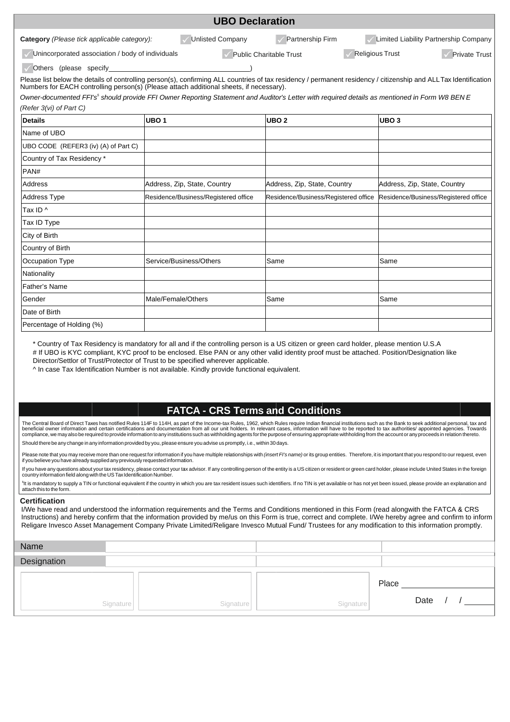|                                                                                                                                                                                                                                                             |                              | <b>UBO Declaration</b>               |                                      |  |                              |                                      |
|-------------------------------------------------------------------------------------------------------------------------------------------------------------------------------------------------------------------------------------------------------------|------------------------------|--------------------------------------|--------------------------------------|--|------------------------------|--------------------------------------|
| Limited Liability Partnership Company<br>Category (Please tick applicable category):<br><b>Unlisted Company</b><br>Partnership Firm                                                                                                                         |                              |                                      |                                      |  |                              |                                      |
| Unincorporated association / body of individuals                                                                                                                                                                                                            |                              |                                      | <b>Public Charitable Trust</b>       |  | <b>Religious Trust</b>       | <b>Private Trust</b>                 |
| Others (please specify example of the state of the state of the state of the state of the state of the state o                                                                                                                                              |                              |                                      |                                      |  |                              |                                      |
| Please list below the details of controlling person(s), confirming ALL countries of tax residency / permanent residency / citizenship and ALL Tax Identification<br>Numbers for EACH controlling person(s) (Please attach additional sheets, if necessary). |                              |                                      |                                      |  |                              |                                      |
| Owner-documented FFI's <sup>5</sup> should provide FFI Owner Reporting Statement and Auditor's Letter with required details as mentioned in Form W8 BEN E                                                                                                   |                              |                                      |                                      |  |                              |                                      |
| (Refer 3(vi) of Part C)                                                                                                                                                                                                                                     |                              |                                      |                                      |  |                              |                                      |
| <b>Details</b>                                                                                                                                                                                                                                              | UBO <sub>1</sub>             |                                      | UBO <sub>2</sub>                     |  | UBO <sub>3</sub>             |                                      |
| Name of UBO                                                                                                                                                                                                                                                 |                              |                                      |                                      |  |                              |                                      |
| UBO CODE (REFER3 (iv) (A) of Part C)                                                                                                                                                                                                                        |                              |                                      |                                      |  |                              |                                      |
| Country of Tax Residency *                                                                                                                                                                                                                                  |                              |                                      |                                      |  |                              |                                      |
| PAN#                                                                                                                                                                                                                                                        |                              |                                      |                                      |  |                              |                                      |
| Address                                                                                                                                                                                                                                                     | Address, Zip, State, Country |                                      | Address, Zip, State, Country         |  | Address, Zip, State, Country |                                      |
| <b>Address Type</b>                                                                                                                                                                                                                                         |                              | Residence/Business/Registered office | Residence/Business/Registered office |  |                              | Residence/Business/Registered office |
| Tax ID ^                                                                                                                                                                                                                                                    |                              |                                      |                                      |  |                              |                                      |
| Tax ID Type                                                                                                                                                                                                                                                 |                              |                                      |                                      |  |                              |                                      |
| City of Birth                                                                                                                                                                                                                                               |                              |                                      |                                      |  |                              |                                      |
| Country of Birth                                                                                                                                                                                                                                            |                              |                                      |                                      |  |                              |                                      |
| Occupation Type                                                                                                                                                                                                                                             | Service/Business/Others      |                                      | Same                                 |  | Same                         |                                      |
| Nationality                                                                                                                                                                                                                                                 |                              |                                      |                                      |  |                              |                                      |
| Father's Name                                                                                                                                                                                                                                               |                              |                                      |                                      |  |                              |                                      |
| Gender                                                                                                                                                                                                                                                      | Male/Female/Others           |                                      | Same                                 |  | Same                         |                                      |
| Date of Birth                                                                                                                                                                                                                                               |                              |                                      |                                      |  |                              |                                      |
| Percentage of Holding (%)                                                                                                                                                                                                                                   |                              |                                      |                                      |  |                              |                                      |

\* Country of Tax Residency is mandatory for all and if the controlling person is a US citizen or green card holder, please mention U.S.A # If UBO is KYC compliant, KYC proof to be enclosed. Else PAN or any other valid identity proof must be attached. Position/Designation like

Director/Settlor of Trust/Protector of Trust to be specified wherever applicable.

^ In case Tax Identification Number is not available. Kindly provide functional equivalent.

# **FATCA - CRS Terms and Conditions**

The Central Board of Direct Taxes has notified Rules 114F to 114H, as part of the Income-tax Rules, 1962, which Rules require Indian financial institutions such as the Bank to seek additional personal, tax and<br>beneficial o compliance, we may also be required to provide information to any institutions such as withholding agents for the purpose of ensuring appropriate withholding from the account or any proceeds in relation thereto. Should there be any change in any information provided by you, please ensure you advise us promptly, i.e., within 30 days.

Please note that you may receive more than one request for information if you have multiple relationships with (insert FI's name) or its group entities. Therefore, it is important that you respond to our request, even if you believe you have already supplied any previously requested information.

If you have any questions about your tax residency, please contact your tax advisor. If any controlling person of the entity is a US citizen or resident or green card holder, please include United States in the foreign<br>cou

<sup>5</sup>It is mandatory to supply a TIN or functional equivalent if the country in which you are tax resident issues such identifiers. If no TIN is yet available or has not yet been issued, please provide an explanation and attach this to the form

#### **Certification**

I/We have read and understood the information requirements and the Terms and Conditions mentioned in this Form (read alongwith the FATCA & CRS Instructions) and hereby confirm that the information provided by me/us on this Form is true, correct and complete. I/We hereby agree and confirm to inform Religare Invesco Asset Management Company Private Limited/Religare Invesco Mutual Fund/ Trustees for any modification to this information promptly.

| Name<br>Designation |           |                        |       |
|---------------------|-----------|------------------------|-------|
|                     |           |                        | Place |
|                     | Signature | Signature<br>Signature | Date  |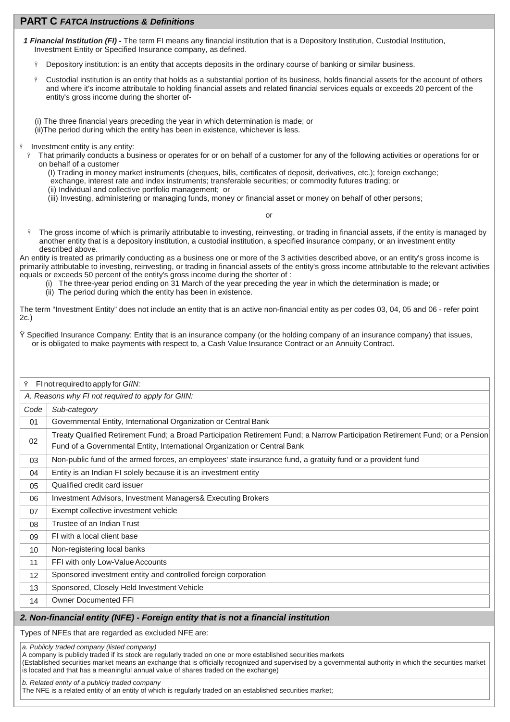# **PART C** *FATCA Instructions & Definitions*

- *1 Financial Institution (FI)* The term FI means any financial institution that is a Depository Institution, Custodial Institution, Investment Entity or Specified Insurance company, as defined.
	- Depository institution: is an entity that accepts deposits in the ordinary course of banking or similar business.
	- Custodial institution is an entity that holds as a substantial portion of its business, holds financial assets for the account of others and where it's income attributale to holding financial assets and related financial services equals or exceeds 20 percent of the entity's gross income during the shorter of-

(i) The three financial years preceding the year in which determination is made; or (ii)The period during which the entity has been in existence, whichever is less.

- Investment entity is any entity:
	- $\hat{y}$  That primarily conducts a business or operates for or on behalf of a customer for any of the following activities or operations for or on behalf of a customer
		- (I) Trading in money market instruments (cheques, bills, certificates of deposit, derivatives, etc.); foreign exchange;
		- exchange, interest rate and index instruments; transferable securities; or commodity futures trading; or
		- (ii) Individual and collective portfolio management; or
		- (iii) Investing, administering or managing funds, money or financial asset or money on behalf of other persons;

or

 $\hat{y}$  The gross income of which is primarily attributable to investing, reinvesting, or trading in financial assets, if the entity is managed by another entity that is a depository institution, a custodial institution, a specified insurance company, or an investment entity described above.

An entity is treated as primarily conducting as a business one or more of the 3 activities described above, or an entity's gross income is primarily attributable to investing, reinvesting, or trading in financial assets of the entity's gross income attributable to the relevant activities equals or exceeds 50 percent of the entity's gross income during the shorter of :

- (i) The three-year period ending on 31 March of the year preceding the year in which the determination is made; or
- (ii) The period during which the entity has been in existence.

The term "Investment Entity" does not include an entity that is an active non-financial entity as per codes 03, 04, 05 and 06 - refer point 2c.)

Ÿ Specified Insurance Company: Entity that is an insurance company (or the holding company of an insurance company) that issues, or is obligated to make payments with respect to, a Cash Value Insurance Contract or an Annuity Contract.

| Ÿ<br>FI not required to apply for GIIN:                                            |                                                                                                                                                                                                            |  |
|------------------------------------------------------------------------------------|------------------------------------------------------------------------------------------------------------------------------------------------------------------------------------------------------------|--|
| A. Reasons why FI not required to apply for GIIN:                                  |                                                                                                                                                                                                            |  |
| Code                                                                               | Sub-category                                                                                                                                                                                               |  |
| 01                                                                                 | Governmental Entity, International Organization or Central Bank                                                                                                                                            |  |
| 02                                                                                 | Treaty Qualified Retirement Fund; a Broad Participation Retirement Fund; a Narrow Participation Retirement Fund; or a Pension<br>Fund of a Governmental Entity, International Organization or Central Bank |  |
| 03                                                                                 | Non-public fund of the armed forces, an employees' state insurance fund, a gratuity fund or a provident fund                                                                                               |  |
| 04                                                                                 | Entity is an Indian FI solely because it is an investment entity                                                                                                                                           |  |
| 05                                                                                 | Qualified credit card issuer                                                                                                                                                                               |  |
| 06                                                                                 | Investment Advisors, Investment Managers& Executing Brokers                                                                                                                                                |  |
| 07                                                                                 | Exempt collective investment vehicle                                                                                                                                                                       |  |
| 08                                                                                 | Trustee of an Indian Trust                                                                                                                                                                                 |  |
| 09                                                                                 | FI with a local client base                                                                                                                                                                                |  |
| 10                                                                                 | Non-registering local banks                                                                                                                                                                                |  |
| 11                                                                                 | FFI with only Low-Value Accounts                                                                                                                                                                           |  |
| 12                                                                                 | Sponsored investment entity and controlled foreign corporation                                                                                                                                             |  |
| 13                                                                                 | Sponsored, Closely Held Investment Vehicle                                                                                                                                                                 |  |
| 14                                                                                 | <b>Owner Documented FFI</b>                                                                                                                                                                                |  |
| 2. Non-financial entity (NFE) - Foreign entity that is not a financial institution |                                                                                                                                                                                                            |  |

Types of NFEs that are regarded as excluded NFE are:

*a. Publicly traded company (listed company)*

A company is publicly traded if its stock are regularly traded on one or more established securities markets

(Established securities market means an exchange that is officially recognized and supervised by a governmental authority in which the securities market is located and that has a meaningful annual value of shares traded on the exchange)

*b. Related entity of a publicly traded company* The NFE is a related entity of an entity of which is regularly traded on an established securities market;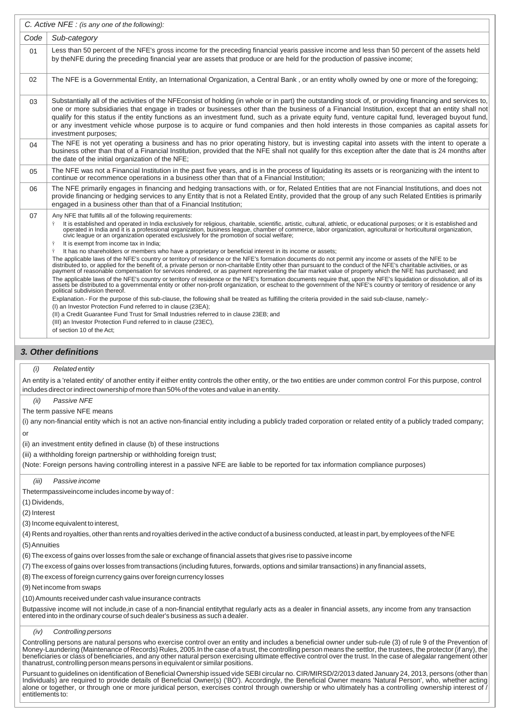|      | C. Active NFE : (is any one of the following):                                                                                                                                                                                                                                                                                                                                                                                                                                                                                                                                                                                                                                                                                                                                                                                                                                                                                                                                                                                                                                                                                                                                                                                                                                                                                                                                                                                                                                                                                                                                                                                                                                                                                                                                                                                                                                                                                                                                     |
|------|------------------------------------------------------------------------------------------------------------------------------------------------------------------------------------------------------------------------------------------------------------------------------------------------------------------------------------------------------------------------------------------------------------------------------------------------------------------------------------------------------------------------------------------------------------------------------------------------------------------------------------------------------------------------------------------------------------------------------------------------------------------------------------------------------------------------------------------------------------------------------------------------------------------------------------------------------------------------------------------------------------------------------------------------------------------------------------------------------------------------------------------------------------------------------------------------------------------------------------------------------------------------------------------------------------------------------------------------------------------------------------------------------------------------------------------------------------------------------------------------------------------------------------------------------------------------------------------------------------------------------------------------------------------------------------------------------------------------------------------------------------------------------------------------------------------------------------------------------------------------------------------------------------------------------------------------------------------------------------|
| Code | Sub-category                                                                                                                                                                                                                                                                                                                                                                                                                                                                                                                                                                                                                                                                                                                                                                                                                                                                                                                                                                                                                                                                                                                                                                                                                                                                                                                                                                                                                                                                                                                                                                                                                                                                                                                                                                                                                                                                                                                                                                       |
| 01   | Less than 50 percent of the NFE's gross income for the preceding financial yearis passive income and less than 50 percent of the assets held<br>by theNFE during the preceding financial year are assets that produce or are held for the production of passive income;                                                                                                                                                                                                                                                                                                                                                                                                                                                                                                                                                                                                                                                                                                                                                                                                                                                                                                                                                                                                                                                                                                                                                                                                                                                                                                                                                                                                                                                                                                                                                                                                                                                                                                            |
| 02   | The NFE is a Governmental Entity, an International Organization, a Central Bank, or an entity wholly owned by one or more of the foregoing;                                                                                                                                                                                                                                                                                                                                                                                                                                                                                                                                                                                                                                                                                                                                                                                                                                                                                                                                                                                                                                                                                                                                                                                                                                                                                                                                                                                                                                                                                                                                                                                                                                                                                                                                                                                                                                        |
| 03   | Substantially all of the activities of the NFE consist of holding (in whole or in part) the outstanding stock of, or providing financing and services to,<br>one or more subsidiaries that engage in trades or businesses other than the business of a Financial Institution, except that an entity shall not<br>qualify for this status if the entity functions as an investment fund, such as a private equity fund, venture capital fund, leveraged buyout fund,<br>or any investment vehicle whose purpose is to acquire or fund companies and then hold interests in those companies as capital assets for<br>investment purposes;                                                                                                                                                                                                                                                                                                                                                                                                                                                                                                                                                                                                                                                                                                                                                                                                                                                                                                                                                                                                                                                                                                                                                                                                                                                                                                                                            |
| 04   | The NFE is not yet operating a business and has no prior operating history, but is investing capital into assets with the intent to operate a<br>business other than that of a Financial Institution, provided that the NFE shall not qualify for this exception after the date that is 24 months after<br>the date of the initial organization of the NFE;                                                                                                                                                                                                                                                                                                                                                                                                                                                                                                                                                                                                                                                                                                                                                                                                                                                                                                                                                                                                                                                                                                                                                                                                                                                                                                                                                                                                                                                                                                                                                                                                                        |
| 05   | The NFE was not a Financial Institution in the past five years, and is in the process of liquidating its assets or is reorganizing with the intent to<br>continue or recommence operations in a business other than that of a Financial Institution;                                                                                                                                                                                                                                                                                                                                                                                                                                                                                                                                                                                                                                                                                                                                                                                                                                                                                                                                                                                                                                                                                                                                                                                                                                                                                                                                                                                                                                                                                                                                                                                                                                                                                                                               |
| 06   | The NFE primarily engages in financing and hedging transactions with, or for, Related Entities that are not Financial Institutions, and does not<br>provide financing or hedging services to any Entity that is not a Related Entity, provided that the group of any such Related Entities is primarily<br>engaged in a business other than that of a Financial Institution;                                                                                                                                                                                                                                                                                                                                                                                                                                                                                                                                                                                                                                                                                                                                                                                                                                                                                                                                                                                                                                                                                                                                                                                                                                                                                                                                                                                                                                                                                                                                                                                                       |
| 07   | Any NFE that fulfills all of the following requirements:<br>It is established and operated in India exclusively for religious, charitable, scientific, artistic, cultural, athletic, or educational purposes; or it is established and<br>Ÿ<br>operated in India and it is a professional organization, business league, chamber of commerce, labor organization, agricultural or horticultural organization,<br>civic league or an organization operated exclusively for the promotion of social welfare;<br>It is exempt from income tax in India:<br>Ÿ<br>It has no shareholders or members who have a proprietary or beneficial interest in its income or assets;<br>Ÿ<br>The applicable laws of the NFE's country or territory of residence or the NFE's formation documents do not permit any income or assets of the NFE to be<br>distributed to, or applied for the benefit of, a private person or non-charitable Entity other than pursuant to the conduct of the NFE's charitable activities, or as<br>payment of reasonable compensation for services rendered, or as payment representing the fair market value of property which the NFE has purchased; and<br>The applicable laws of the NFE's country or territory of residence or the NFE's formation documents require that, upon the NFE's liquidation or dissolution, all of its<br>assets be distributed to a governmental entity or other non-profit organization, or escheat to the government of the NFE's country or territory of residence or any<br>political subdivision thereof.<br>Explanation.- For the purpose of this sub-clause, the following shall be treated as fulfilling the criteria provided in the said sub-clause, namely:-<br>(I) an Investor Protection Fund referred to in clause (23EA);<br>(II) a Credit Guarantee Fund Trust for Small Industries referred to in clause 23EB; and<br>(III) an Investor Protection Fund referred to in clause (23EC).<br>of section 10 of the Act; |

## *3. Other definitions*

#### *(i) Related entity*

An entity is a 'related entity' of another entity if either entity controls the other entity, or the two entities are under common control For this purpose, control includes direct or indirect ownership of more than 50% of the votes and value in an entity.

#### *(ii) Passive NFE*

The term passive NFE means

(i) any non-financial entity which is not an active non-financial entity including a publicly traded corporation or related entity of a publicly traded company;

or

(ii) an investment entity defined in clause (b) of these instructions

(iii) a withholding foreign partnership or withholding foreign trust;

(Note: Foreign persons having controlling interest in a passive NFE are liable to be reported for tax information compliance purposes)

*(iii) Passive income*

Thetermpassiveincome includes income by way of :

(1) Dividends,

(2) Interest

(3) Income equivalent to interest,

(4) Rents and royalties, other than rents and royalties derived in the active conduct of a business conducted, at least in part, by employees of the NFE

(5) Annuities

(6) The excess of gains over losses from the sale or exchange of financial assets that gives rise to passive income

(7) The excess of gains over losses from transactions (including futures, forwards, options and similar transactions) in any financial assets,

(8) The excess of foreign currency gains over foreign currency losses

(9) Net income from swaps

(10) Amounts received under cash value insurance contracts

Butpassive income will not include,in case of a non-financial entitythat regularly acts as a dealer in financial assets, any income from any transaction entered into in the ordinary course of such dealer's business as such a dealer.

*(iv) Controlling persons*

Controlling persons are natural persons who exercise control over an entity and includes a beneficial owner under sub-rule (3) of rule 9 of the Prevention of Money-Laundering (Maintenance of Records) Rules, 2005.In the case of a trust, the controlling person means the settlor, the trustees, the protector (if any), the beneficiaries or class of beneficiaries, and any other natural person exercising ultimate effective control over the trust. In the case of alegalar rangement other thanatrust, controlling person means persons in equivalent or similar positions.

Pursuant to guidelines on identification of Beneficial Ownership issued vide SEBI circular no. CIR/MIRSD/2/2013 dated January 24, 2013, persons (other than<br>Individuals) are required to provide details of Beneficial Owner(s alone or together, or through one or more juridical person, exercises control through ownership or who ultimately has a controlling ownership interest of / entitlements to: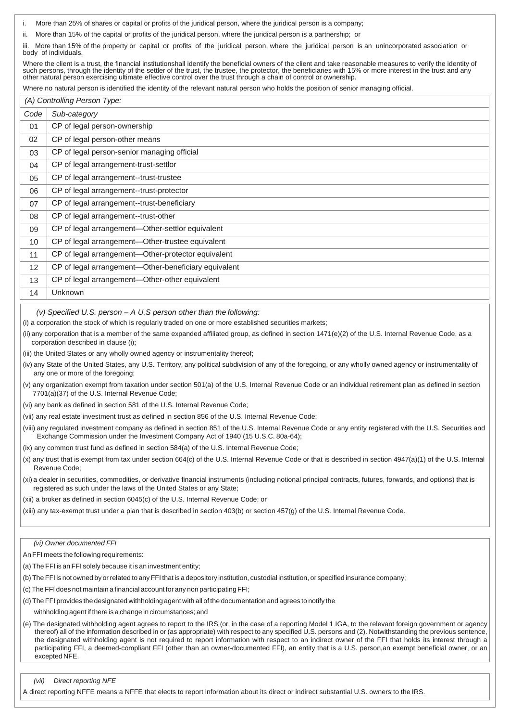- More than 25% of shares or capital or profits of the juridical person, where the juridical person is a company;
- ii. More than 15% of the capital or profits of the juridical person, where the juridical person is a partnership; or

iii. More than 15% of the property or capital or profits of the juridical person, where the juridical person is an unincorporated association or body of individuals.

Where the client is a trust, the financial institutionshall identify the beneficial owners of the client and take reasonable measures to verify the identity of such persons, through the identity of the settler of the trust, the trustee, the protector, the beneficiaries with 15% or more interest in the trust and any<br>other natural person exercising ultimate effective control over t

Where no natural person is identified the identity of the relevant natural person who holds the position of senior managing official.

|                 | (A) Controlling Person Type:                         |  |
|-----------------|------------------------------------------------------|--|
| Code            | Sub-category                                         |  |
| 01              | CP of legal person-ownership                         |  |
| 02              | CP of legal person-other means                       |  |
| 03              | CP of legal person-senior managing official          |  |
| 04              | CP of legal arrangement-trust-settlor                |  |
| 05              | CP of legal arrangement--trust-trustee               |  |
| 06              | CP of legal arrangement--trust-protector             |  |
| 07              | CP of legal arrangement--trust-beneficiary           |  |
| 08              | CP of legal arrangement--trust-other                 |  |
| 09              | CP of legal arrangement-Other-settlor equivalent     |  |
| 10 <sup>°</sup> | CP of legal arrangement-Other-trustee equivalent     |  |
| 11              | CP of legal arrangement-Other-protector equivalent   |  |
| 12 <sup>2</sup> | CP of legal arrangement—Other-beneficiary equivalent |  |
| 13              | CP of legal arrangement-Other-other equivalent       |  |
| 14              | Unknown                                              |  |

#### *(v) Specified U.S. person – A U.S person other than the following:*

(i) a corporation the stock of which is regularly traded on one or more established securities markets;

- (ii) any corporation that is a member of the same expanded affiliated group, as defined in section 1471(e)(2) of the U.S. Internal Revenue Code, as a corporation described in clause (i);
- (iii) the United States or any wholly owned agency or instrumentality thereof;
- (iv) any State of the United States, any U.S. Territory, any political subdivision of any of the foregoing, or any wholly owned agency or instrumentality of any one or more of the foregoing;
- (v) any organization exempt from taxation under section 501(a) of the U.S. Internal Revenue Code or an individual retirement plan as defined in section 7701(a)(37) of the U.S. Internal Revenue Code;
- (vi) any bank as defined in section 581 of the U.S. Internal Revenue Code;
- (vii) any real estate investment trust as defined in section 856 of the U.S. Internal Revenue Code;
- (viii) any regulated investment company as defined in section 851 of the U.S. Internal Revenue Code or any entity registered with the U.S. Securities and Exchange Commission under the Investment Company Act of 1940 (15 U.S.C. 80a-64);
- (ix) any common trust fund as defined in section 584(a) of the U.S. Internal Revenue Code;
- (x) any trust that is exempt from tax under section 664(c) of the U.S. Internal Revenue Code or that is described in section 4947(a)(1) of the U.S. Internal Revenue Code;
- (xi) a dealer in securities, commodities, or derivative financial instruments (including notional principal contracts, futures, forwards, and options) that is registered as such under the laws of the United States or any State;
- (xii) a broker as defined in section 6045(c) of the U.S. Internal Revenue Code; or

(xiii) any tax-exempt trust under a plan that is described in section 403(b) or section 457(g) of the U.S. Internal Revenue Code.

### *(vi) Owner documented FFI*

An FFI meets the following requirements:

- (a) The FFI is an FFI solely because it is an investment entity;
- (b) The FFI is not owned by or related to any FFI that is a depository institution, custodial institution, or specified insurance company;
- (c) The FFI does not maintain a financial account for any non participating FFI;
- (d) The FFI provides the designated withholding agent with all of the documentation and agrees to notify the
	- withholding agent if there is a change in circumstances; and
- (e) The designated withholding agent agrees to report to the IRS (or, in the case of a reporting Model 1 IGA, to the relevant foreign government or agency thereof) all of the information described in or (as appropriate) with respect to any specified U.S. persons and (2). Notwithstanding the previous sentence, the designated withholding agent is not required to report information with respect to an indirect owner of the FFI that holds its interest through a participating FFI, a deemed-compliant FFI (other than an owner-documented FFI), an entity that is a U.S. person,an exempt beneficial owner, or an excepted NFE.

#### *(vii) Direct reporting NFE*

A direct reporting NFFE means a NFFE that elects to report information about its direct or indirect substantial U.S. owners to the IRS.